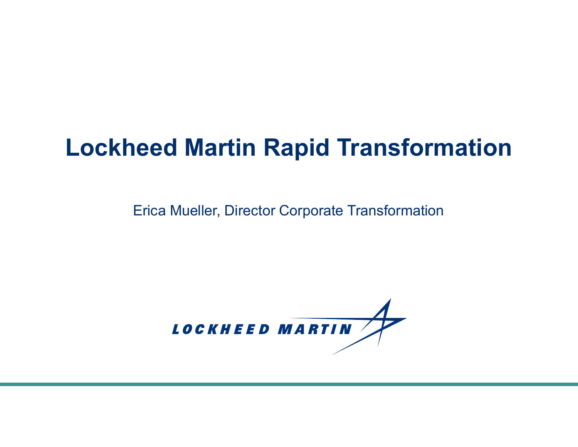## Lockheed Martin Rapid Transformation

Erica Mueller, Director Corporate Transformation

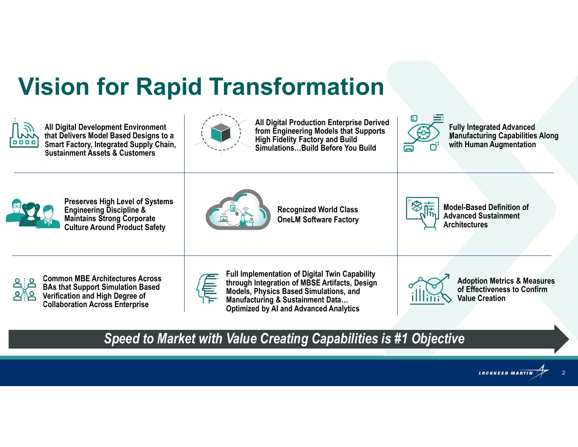# Vision for Rapid Transformation

| $\frac{1}{\sqrt{2}}$<br><b>All Digital Development Environment</b><br>that Delivers Model Based Designs to a<br><b>Smart Factory, Integrated Supply Chain,</b><br><b>Sustainment Assets &amp; Customers</b> | <b>All Digital Production Enterprise Derived</b><br>from Engineering Models that Supports<br><b>High Fidelity Factory and Build</b><br>SimulationsBuild Before You Build                                                                              | <b>Fully Integrated Advanced</b><br>$60 -$<br><b>Manufacturing Capabilities Along</b><br>with Human Augmentation<br>o |
|-------------------------------------------------------------------------------------------------------------------------------------------------------------------------------------------------------------|-------------------------------------------------------------------------------------------------------------------------------------------------------------------------------------------------------------------------------------------------------|-----------------------------------------------------------------------------------------------------------------------|
| <b>Preserves High Level of Systems</b><br><b>Engineering Discipline &amp;</b><br><b>Maintains Strong Corporate</b><br><b>Culture Around Product Safety</b>                                                  | <b>Recognized World Class</b><br><b>OneLM Software Factory</b>                                                                                                                                                                                        | <b>Model-Based Definition of</b><br><b>Advanced Sustainment</b><br><b>Architectures</b>                               |
| <b>Common MBE Architectures Across</b><br><u>දු ප</u><br><b>BAs that Support Simulation Based</b><br>B<br>Verification and High Degree of<br><b>Collaboration Across Enterprise</b>                         | <b>Full Implementation of Digital Twin Capability</b><br>through Integration of MBSE Artifacts, Design<br>僵<br>Models, Physics Based Simulations, and<br><b>Manufacturing &amp; Sustainment Data</b><br><b>Optimized by AI and Advanced Analytics</b> | <b>Adoption Metrics &amp; Measures</b><br>of Effectiveness to Confirm<br><b>Value Creation</b>                        |

#### Speed to Market with Value Creating Capabilities is #1 Objective



2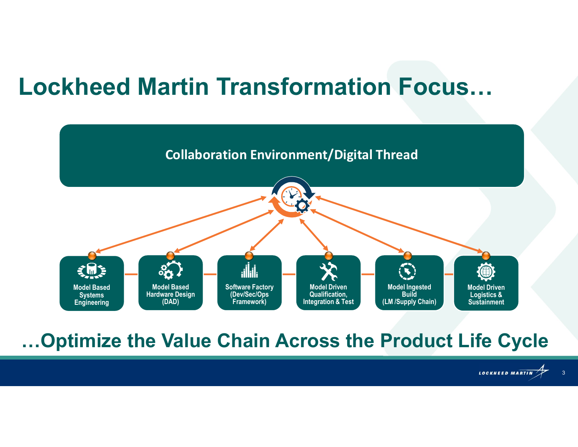## Lockheed Martin Transformation Focus…



#### …Optimize the Value Chain Across the Product Life Cycle